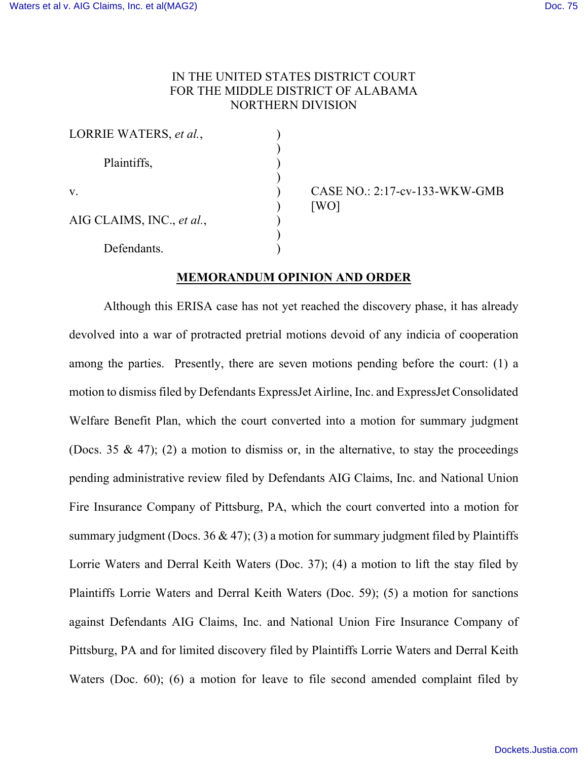# IN THE UNITED STATES DISTRICT COURT FOR THE MIDDLE DISTRICT OF ALABAMA NORTHERN DIVISION

| LORRIE WATERS, et al.,    |  |
|---------------------------|--|
| Plaintiffs,               |  |
| $V_{\cdot}$               |  |
| AIG CLAIMS, INC., et al., |  |
| Defendants.               |  |

v. ) CASE NO.: 2:17-cv-133-WKW-GMB  $[WO]$ 

# **MEMORANDUM OPINION AND ORDER**

Although this ERISA case has not yet reached the discovery phase, it has already devolved into a war of protracted pretrial motions devoid of any indicia of cooperation among the parties. Presently, there are seven motions pending before the court: (1) a motion to dismiss filed by Defendants ExpressJet Airline, Inc. and ExpressJet Consolidated Welfare Benefit Plan, which the court converted into a motion for summary judgment (Docs. 35 & 47); (2) a motion to dismiss or, in the alternative, to stay the proceedings pending administrative review filed by Defendants AIG Claims, Inc. and National Union Fire Insurance Company of Pittsburg, PA, which the court converted into a motion for summary judgment (Docs. 36 & 47); (3) a motion for summary judgment filed by Plaintiffs Lorrie Waters and Derral Keith Waters (Doc. 37); (4) a motion to lift the stay filed by Plaintiffs Lorrie Waters and Derral Keith Waters (Doc. 59); (5) a motion for sanctions against Defendants AIG Claims, Inc. and National Union Fire Insurance Company of Pittsburg, PA and for limited discovery filed by Plaintiffs Lorrie Waters and Derral Keith Waters (Doc. 60); (6) a motion for leave to file second amended complaint filed by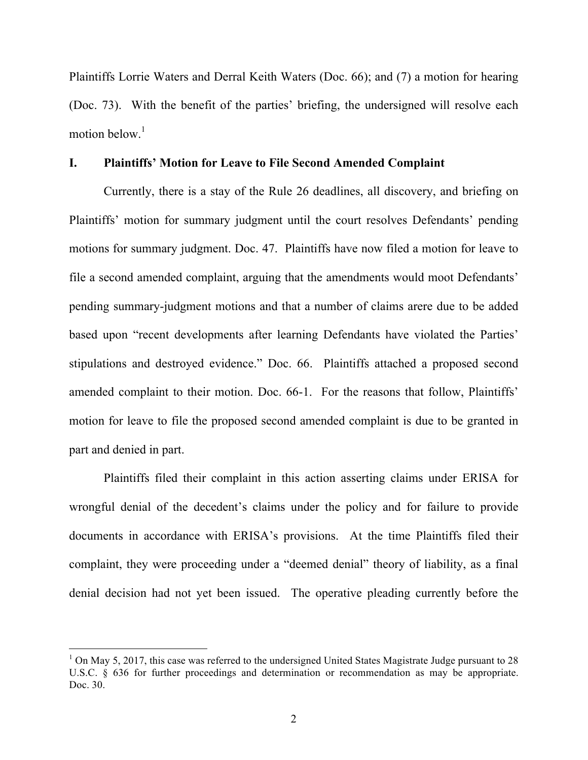Plaintiffs Lorrie Waters and Derral Keith Waters (Doc. 66); and (7) a motion for hearing (Doc. 73). With the benefit of the parties' briefing, the undersigned will resolve each motion below. 1

#### **I. Plaintiffs' Motion for Leave to File Second Amended Complaint**

Currently, there is a stay of the Rule 26 deadlines, all discovery, and briefing on Plaintiffs' motion for summary judgment until the court resolves Defendants' pending motions for summary judgment. Doc. 47. Plaintiffs have now filed a motion for leave to file a second amended complaint, arguing that the amendments would moot Defendants' pending summary-judgment motions and that a number of claims arere due to be added based upon "recent developments after learning Defendants have violated the Parties' stipulations and destroyed evidence." Doc. 66. Plaintiffs attached a proposed second amended complaint to their motion. Doc. 66-1. For the reasons that follow, Plaintiffs' motion for leave to file the proposed second amended complaint is due to be granted in part and denied in part.

Plaintiffs filed their complaint in this action asserting claims under ERISA for wrongful denial of the decedent's claims under the policy and for failure to provide documents in accordance with ERISA's provisions. At the time Plaintiffs filed their complaint, they were proceeding under a "deemed denial" theory of liability, as a final denial decision had not yet been issued. The operative pleading currently before the

 $1$  On May 5, 2017, this case was referred to the undersigned United States Magistrate Judge pursuant to 28 U.S.C. § 636 for further proceedings and determination or recommendation as may be appropriate. Doc. 30.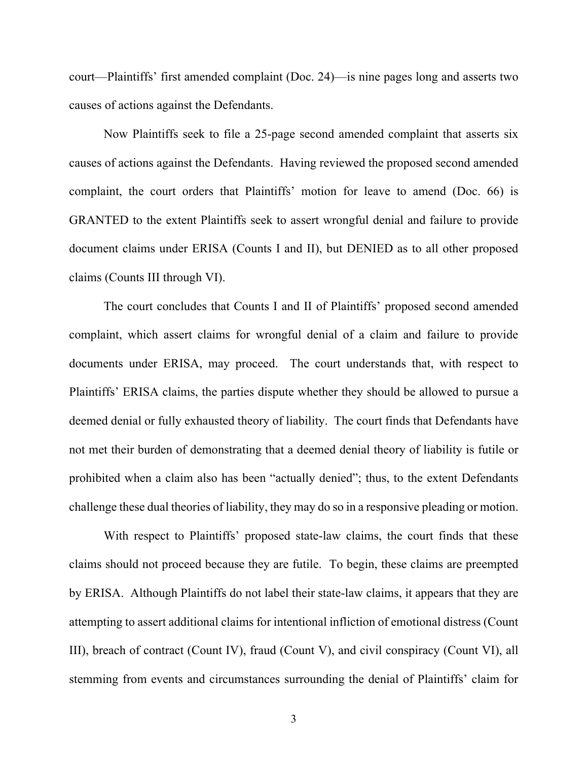court—Plaintiffs' first amended complaint (Doc. 24)—is nine pages long and asserts two causes of actions against the Defendants.

Now Plaintiffs seek to file a 25-page second amended complaint that asserts six causes of actions against the Defendants. Having reviewed the proposed second amended complaint, the court orders that Plaintiffs' motion for leave to amend (Doc. 66) is GRANTED to the extent Plaintiffs seek to assert wrongful denial and failure to provide document claims under ERISA (Counts I and II), but DENIED as to all other proposed claims (Counts III through VI).

The court concludes that Counts I and II of Plaintiffs' proposed second amended complaint, which assert claims for wrongful denial of a claim and failure to provide documents under ERISA, may proceed. The court understands that, with respect to Plaintiffs' ERISA claims, the parties dispute whether they should be allowed to pursue a deemed denial or fully exhausted theory of liability. The court finds that Defendants have not met their burden of demonstrating that a deemed denial theory of liability is futile or prohibited when a claim also has been "actually denied"; thus, to the extent Defendants challenge these dual theories of liability, they may do so in a responsive pleading or motion.

With respect to Plaintiffs' proposed state-law claims, the court finds that these claims should not proceed because they are futile. To begin, these claims are preempted by ERISA. Although Plaintiffs do not label their state-law claims, it appears that they are attempting to assert additional claims for intentional infliction of emotional distress (Count III), breach of contract (Count IV), fraud (Count V), and civil conspiracy (Count VI), all stemming from events and circumstances surrounding the denial of Plaintiffs' claim for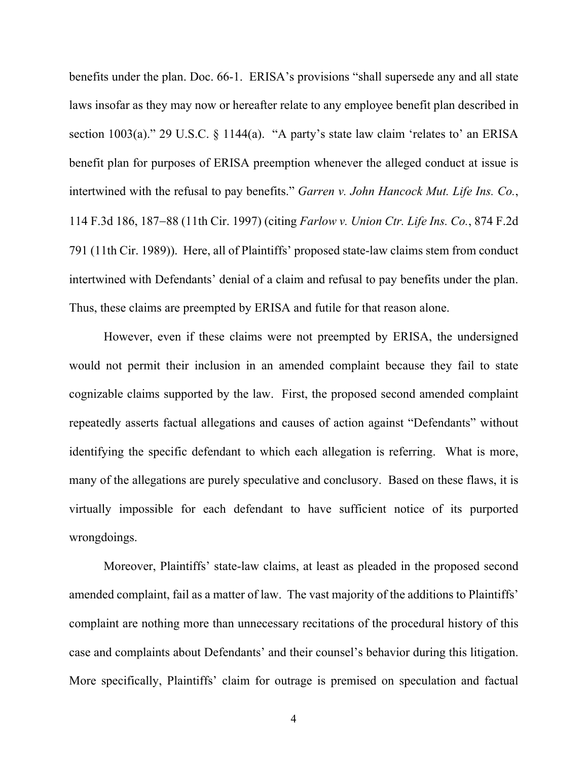benefits under the plan. Doc. 66-1. ERISA's provisions "shall supersede any and all state laws insofar as they may now or hereafter relate to any employee benefit plan described in section 1003(a)." 29 U.S.C. § 1144(a). "A party's state law claim 'relates to' an ERISA benefit plan for purposes of ERISA preemption whenever the alleged conduct at issue is intertwined with the refusal to pay benefits." *Garren v. John Hancock Mut. Life Ins. Co.*, 114 F.3d 186, 187-88 (11th Cir. 1997) (citing *Farlow v. Union Ctr. Life Ins. Co.*, 874 F.2d 791 (11th Cir. 1989)). Here, all of Plaintiffs' proposed state-law claims stem from conduct intertwined with Defendants' denial of a claim and refusal to pay benefits under the plan. Thus, these claims are preempted by ERISA and futile for that reason alone.

However, even if these claims were not preempted by ERISA, the undersigned would not permit their inclusion in an amended complaint because they fail to state cognizable claims supported by the law. First, the proposed second amended complaint repeatedly asserts factual allegations and causes of action against "Defendants" without identifying the specific defendant to which each allegation is referring. What is more, many of the allegations are purely speculative and conclusory. Based on these flaws, it is virtually impossible for each defendant to have sufficient notice of its purported wrongdoings.

Moreover, Plaintiffs' state-law claims, at least as pleaded in the proposed second amended complaint, fail as a matter of law. The vast majority of the additions to Plaintiffs' complaint are nothing more than unnecessary recitations of the procedural history of this case and complaints about Defendants' and their counsel's behavior during this litigation. More specifically, Plaintiffs' claim for outrage is premised on speculation and factual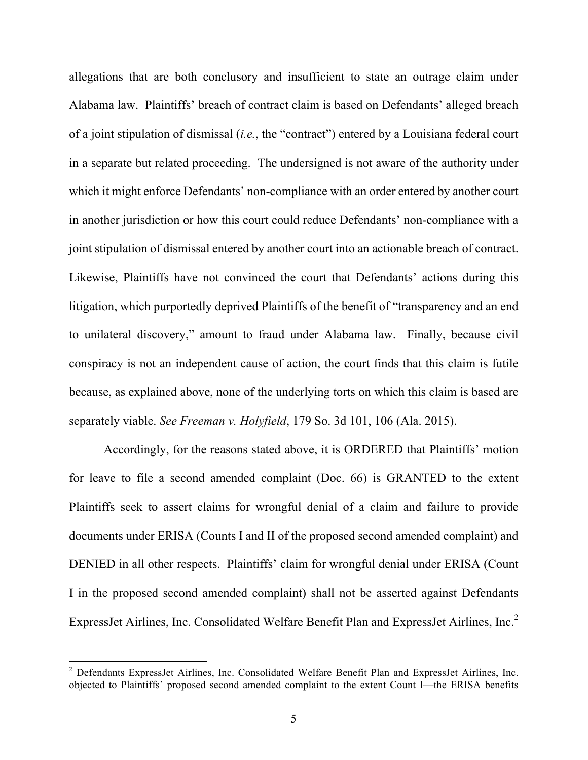allegations that are both conclusory and insufficient to state an outrage claim under Alabama law. Plaintiffs' breach of contract claim is based on Defendants' alleged breach of a joint stipulation of dismissal (*i.e.*, the "contract") entered by a Louisiana federal court in a separate but related proceeding. The undersigned is not aware of the authority under which it might enforce Defendants' non-compliance with an order entered by another court in another jurisdiction or how this court could reduce Defendants' non-compliance with a joint stipulation of dismissal entered by another court into an actionable breach of contract. Likewise, Plaintiffs have not convinced the court that Defendants' actions during this litigation, which purportedly deprived Plaintiffs of the benefit of "transparency and an end to unilateral discovery," amount to fraud under Alabama law. Finally, because civil conspiracy is not an independent cause of action, the court finds that this claim is futile because, as explained above, none of the underlying torts on which this claim is based are separately viable. *See Freeman v. Holyfield*, 179 So. 3d 101, 106 (Ala. 2015).

Accordingly, for the reasons stated above, it is ORDERED that Plaintiffs' motion for leave to file a second amended complaint (Doc. 66) is GRANTED to the extent Plaintiffs seek to assert claims for wrongful denial of a claim and failure to provide documents under ERISA (Counts I and II of the proposed second amended complaint) and DENIED in all other respects. Plaintiffs' claim for wrongful denial under ERISA (Count I in the proposed second amended complaint) shall not be asserted against Defendants ExpressJet Airlines, Inc. Consolidated Welfare Benefit Plan and ExpressJet Airlines, Inc.<sup>2</sup>

<sup>&</sup>lt;sup>2</sup> Defendants ExpressJet Airlines, Inc. Consolidated Welfare Benefit Plan and ExpressJet Airlines, Inc. objected to Plaintiffs' proposed second amended complaint to the extent Count I—the ERISA benefits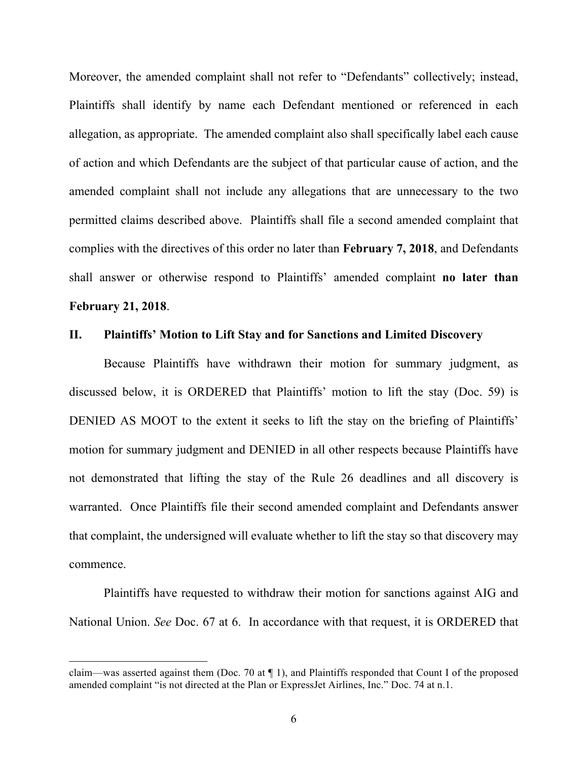Moreover, the amended complaint shall not refer to "Defendants" collectively; instead, Plaintiffs shall identify by name each Defendant mentioned or referenced in each allegation, as appropriate. The amended complaint also shall specifically label each cause of action and which Defendants are the subject of that particular cause of action, and the amended complaint shall not include any allegations that are unnecessary to the two permitted claims described above. Plaintiffs shall file a second amended complaint that complies with the directives of this order no later than **February 7, 2018**, and Defendants shall answer or otherwise respond to Plaintiffs' amended complaint **no later than February 21, 2018**.

### **II. Plaintiffs' Motion to Lift Stay and for Sanctions and Limited Discovery**

Because Plaintiffs have withdrawn their motion for summary judgment, as discussed below, it is ORDERED that Plaintiffs' motion to lift the stay (Doc. 59) is DENIED AS MOOT to the extent it seeks to lift the stay on the briefing of Plaintiffs' motion for summary judgment and DENIED in all other respects because Plaintiffs have not demonstrated that lifting the stay of the Rule 26 deadlines and all discovery is warranted. Once Plaintiffs file their second amended complaint and Defendants answer that complaint, the undersigned will evaluate whether to lift the stay so that discovery may commence.

Plaintiffs have requested to withdraw their motion for sanctions against AIG and National Union. *See* Doc. 67 at 6. In accordance with that request, it is ORDERED that

 $\overline{a}$ 

claim—was asserted against them (Doc. 70 at  $\P$  1), and Plaintiffs responded that Count I of the proposed amended complaint "is not directed at the Plan or ExpressJet Airlines, Inc." Doc. 74 at n.1.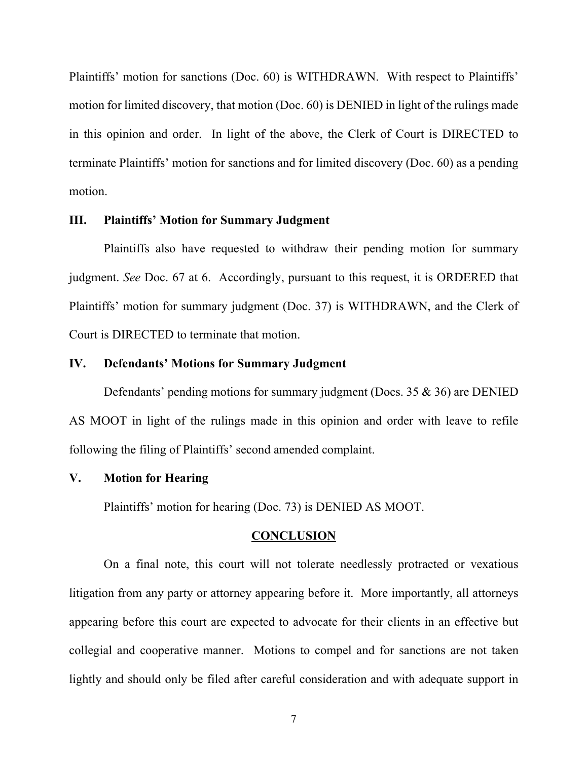Plaintiffs' motion for sanctions (Doc. 60) is WITHDRAWN. With respect to Plaintiffs' motion for limited discovery, that motion (Doc. 60) is DENIED in light of the rulings made in this opinion and order. In light of the above, the Clerk of Court is DIRECTED to terminate Plaintiffs' motion for sanctions and for limited discovery (Doc. 60) as a pending motion.

### **III. Plaintiffs' Motion for Summary Judgment**

Plaintiffs also have requested to withdraw their pending motion for summary judgment. *See* Doc. 67 at 6. Accordingly, pursuant to this request, it is ORDERED that Plaintiffs' motion for summary judgment (Doc. 37) is WITHDRAWN, and the Clerk of Court is DIRECTED to terminate that motion.

# **IV. Defendants' Motions for Summary Judgment**

Defendants' pending motions for summary judgment (Docs. 35 & 36) are DENIED AS MOOT in light of the rulings made in this opinion and order with leave to refile following the filing of Plaintiffs' second amended complaint.

### **V. Motion for Hearing**

Plaintiffs' motion for hearing (Doc. 73) is DENIED AS MOOT.

#### **CONCLUSION**

On a final note, this court will not tolerate needlessly protracted or vexatious litigation from any party or attorney appearing before it. More importantly, all attorneys appearing before this court are expected to advocate for their clients in an effective but collegial and cooperative manner. Motions to compel and for sanctions are not taken lightly and should only be filed after careful consideration and with adequate support in

7